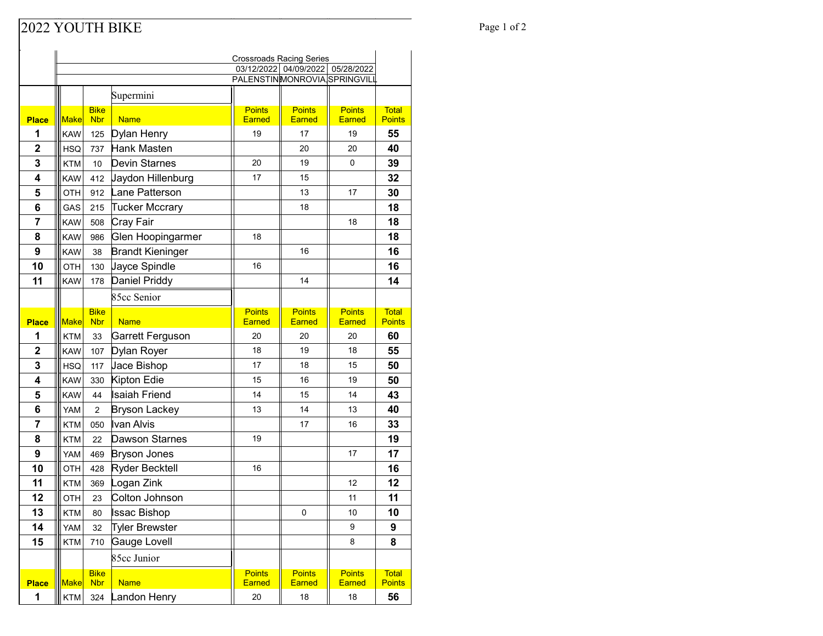## Page 1 of 2

|                         | <b>Crossroads Racing Series</b>     |                           |                         |                                |                                |                                |                               |
|-------------------------|-------------------------------------|---------------------------|-------------------------|--------------------------------|--------------------------------|--------------------------------|-------------------------------|
|                         | 03/12/2022 04/09/2022<br>05/28/2022 |                           |                         |                                |                                |                                |                               |
|                         |                                     |                           |                         | PALENSTINMONROVIA SPRINGVILL   |                                |                                |                               |
|                         |                                     |                           | Supermini               |                                |                                |                                |                               |
| <b>Place</b>            | <b>Make</b>                         | <b>Bike</b><br><b>Nbr</b> | <b>Name</b>             | <b>Points</b><br>Earned        | <b>Points</b><br><b>Earned</b> | <b>Points</b><br><b>Earned</b> | <b>Total</b><br><b>Points</b> |
| 1                       | <b>KAW</b>                          | 125                       | Dylan Henry             | 19                             | 17                             | 19                             | 55                            |
| $\mathbf 2$             | <b>HSQ</b>                          | 737                       | Hank Masten             |                                | 20                             | 20                             | 40                            |
| 3                       | <b>KTM</b>                          | 10                        | Devin Starnes           | 20                             | 19                             | 0                              | 39                            |
| 4                       | <b>KAW</b>                          | 412                       | Jaydon Hillenburg       | 17                             | 15                             |                                | 32                            |
| 5                       | OTH                                 | 912                       | Lane Patterson          |                                | 13                             | 17                             | 30                            |
| 6                       | GAS                                 | 215                       | <b>Tucker Mccrary</b>   |                                | 18                             |                                | 18                            |
| 7                       | <b>KAW</b>                          | 508                       | Cray Fair               |                                |                                | 18                             | 18                            |
| 8                       | <b>KAW</b>                          | 986                       | Glen Hoopingarmer       | 18                             |                                |                                | 18                            |
| 9                       | <b>KAW</b>                          | 38                        | <b>Brandt Kieninger</b> |                                | 16                             |                                | 16                            |
| 10                      | OTH                                 | 130                       | Jayce Spindle           | 16                             |                                |                                | 16                            |
| 11                      | <b>KAW</b>                          | 178                       | Daniel Priddy           |                                | 14                             |                                | 14                            |
|                         |                                     |                           | 85cc Senior             |                                |                                |                                |                               |
| <b>Place</b>            | Make                                | <b>Bike</b><br><b>Nbr</b> | <b>Name</b>             | <b>Points</b><br><b>Earned</b> | <b>Points</b><br><b>Earned</b> | <b>Points</b><br><b>Earned</b> | <b>Total</b><br><b>Points</b> |
| 1                       | KTM                                 | 33                        | Garrett Ferguson        | 20                             | 20                             | 20                             | 60                            |
| $\overline{\mathbf{2}}$ | <b>KAW</b>                          | 107                       | Dylan Royer             | 18                             | 19                             | 18                             | 55                            |
| 3                       | <b>HSQ</b>                          | 117                       | Jace Bishop             | 17                             | 18                             | 15                             | 50                            |
| 4                       | <b>KAW</b>                          | 330                       | Kipton Edie             | 15                             | 16                             | 19                             | 50                            |
| 5                       | <b>KAW</b>                          | 44                        | Isaiah Friend           | 14                             | 15                             | 14                             | 43                            |
| 6                       | <b>YAM</b>                          | $\overline{2}$            | <b>Bryson Lackey</b>    | 13                             | 14                             | 13                             | 40                            |
| 7                       | <b>KTM</b>                          | 050                       | Ivan Alvis              |                                | 17                             | 16                             | 33                            |
| 8                       | KTM                                 | 22                        | Dawson Starnes          | 19                             |                                |                                | 19                            |
| 9                       | YAM                                 | 469                       | <b>Bryson Jones</b>     |                                |                                | 17                             | 17                            |
| 10                      | OTH                                 | 428                       | Ryder Becktell          | 16                             |                                |                                | 16                            |
| 11                      | <b>KTM</b>                          | 369                       | Logan Zink              |                                |                                | 12                             | 12                            |
| 12                      | OTH                                 | 23                        | Colton Johnson          |                                |                                | 11                             | 11                            |
| 13                      | <b>KTM</b>                          | 80                        | <b>Issac Bishop</b>     |                                | 0                              | 10                             | 10                            |
| 14                      | YAM                                 | 32                        | Tyler Brewster          |                                |                                | 9                              | 9                             |
| 15                      | <b>KTM</b>                          | 710                       | Gauge Lovell            |                                |                                | 8                              | 8                             |
|                         |                                     |                           | 85cc Junior             |                                |                                |                                |                               |
| <b>Place</b>            | Make                                | <b>Bike</b><br><b>Nbr</b> | <b>Name</b>             | <b>Points</b><br><b>Earned</b> | <b>Points</b><br><b>Earned</b> | <b>Points</b><br>Earned        | <b>Total</b><br><b>Points</b> |
| 1                       | KTM                                 | 324                       | andon Henry             | 20                             | 18                             | 18                             | 56                            |